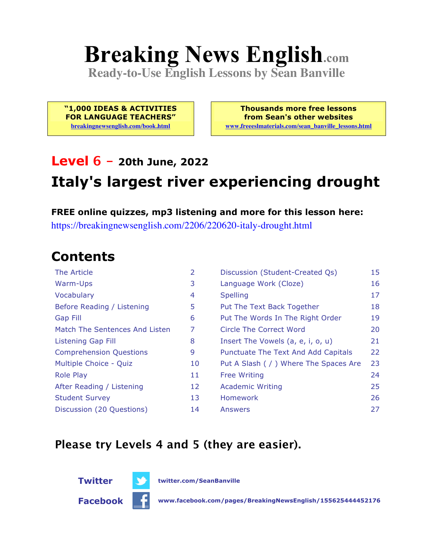# **Breaking News English.com**

**Ready-to-Use English Lessons by Sean Banville**

**"1,000 IDEAS & ACTIVITIES FOR LANGUAGE TEACHERS" breakingnewsenglish.com/book.html**

**Thousands more free lessons from Sean's other websites www.freeeslmaterials.com/sean\_banville\_lessons.html**

## **Level 6 - 20th June, 2022 Italy's largest river experiencing drought**

**FREE online quizzes, mp3 listening and more for this lesson here:** https://breakingnewsenglish.com/2206/220620-italy-drought.html

#### **Contents**

| The Article                    | 2  | Discussion (Student-Created Qs)        | 15 |
|--------------------------------|----|----------------------------------------|----|
| Warm-Ups                       | 3  | Language Work (Cloze)                  | 16 |
| Vocabulary                     | 4  | <b>Spelling</b>                        | 17 |
| Before Reading / Listening     | 5  | Put The Text Back Together             | 18 |
| <b>Gap Fill</b>                | 6  | Put The Words In The Right Order       | 19 |
| Match The Sentences And Listen | 7  | Circle The Correct Word                | 20 |
| Listening Gap Fill             | 8  | Insert The Vowels (a, e, i, o, u)      | 21 |
| <b>Comprehension Questions</b> | 9  | Punctuate The Text And Add Capitals    | 22 |
| Multiple Choice - Quiz         | 10 | Put A Slash ( / ) Where The Spaces Are | 23 |
| <b>Role Play</b>               | 11 | <b>Free Writing</b>                    | 24 |
| After Reading / Listening      | 12 | <b>Academic Writing</b>                | 25 |
| <b>Student Survey</b>          | 13 | <b>Homework</b>                        | 26 |
| Discussion (20 Questions)      | 14 | Answers                                | 27 |

#### **Please try Levels 4 and 5 (they are easier).**



**Twitter twitter.com/SeanBanville**

**Facebook www.facebook.com/pages/BreakingNewsEnglish/155625444452176**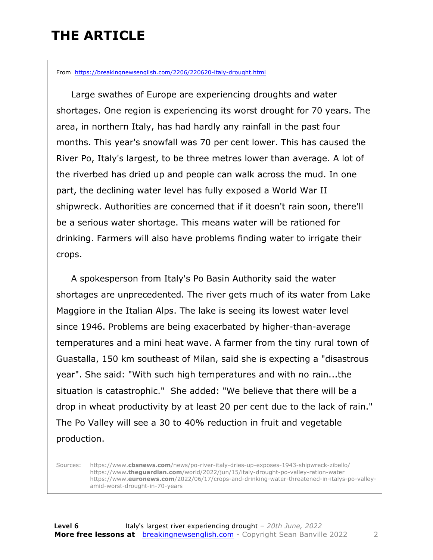### **THE ARTICLE**

From https://breakingnewsenglish.com/2206/220620-italy-drought.html

 Large swathes of Europe are experiencing droughts and water shortages. One region is experiencing its worst drought for 70 years. The area, in northern Italy, has had hardly any rainfall in the past four months. This year's snowfall was 70 per cent lower. This has caused the River Po, Italy's largest, to be three metres lower than average. A lot of the riverbed has dried up and people can walk across the mud. In one part, the declining water level has fully exposed a World War II shipwreck. Authorities are concerned that if it doesn't rain soon, there'll be a serious water shortage. This means water will be rationed for drinking. Farmers will also have problems finding water to irrigate their crops.

 A spokesperson from Italy's Po Basin Authority said the water shortages are unprecedented. The river gets much of its water from Lake Maggiore in the Italian Alps. The lake is seeing its lowest water level since 1946. Problems are being exacerbated by higher-than-average temperatures and a mini heat wave. A farmer from the tiny rural town of Guastalla, 150 km southeast of Milan, said she is expecting a "disastrous year". She said: "With such high temperatures and with no rain...the situation is catastrophic." She added: "We believe that there will be a drop in wheat productivity by at least 20 per cent due to the lack of rain." The Po Valley will see a 30 to 40% reduction in fruit and vegetable production.

Sources: https://www.**cbsnews.com**/news/po-river-italy-dries-up-exposes-1943-shipwreck-zibello/ https://www**.theguardian.com**/world/2022/jun/15/italy-drought-po-valley-ration-water https://www.**euronews.com**/2022/06/17/crops-and-drinking-water-threatened-in-italys-po-valleyamid-worst-drought-in-70-years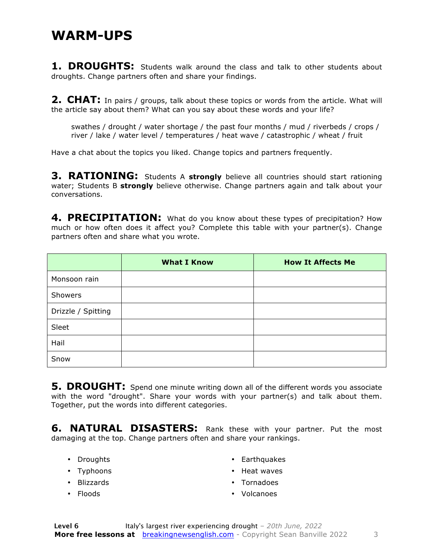#### **WARM-UPS**

1. DROUGHTS: Students walk around the class and talk to other students about droughts. Change partners often and share your findings.

**2. CHAT:** In pairs / groups, talk about these topics or words from the article. What will the article say about them? What can you say about these words and your life?

swathes / drought / water shortage / the past four months / mud / riverbeds / crops / river / lake / water level / temperatures / heat wave / catastrophic / wheat / fruit

Have a chat about the topics you liked. Change topics and partners frequently.

**3. RATIONING:** Students A **strongly** believe all countries should start rationing water; Students B **strongly** believe otherwise. Change partners again and talk about your conversations.

**4. PRECIPITATION:** What do you know about these types of precipitation? How much or how often does it affect you? Complete this table with your partner(s). Change partners often and share what you wrote.

|                    | <b>What I Know</b> | <b>How It Affects Me</b> |
|--------------------|--------------------|--------------------------|
| Monsoon rain       |                    |                          |
| Showers            |                    |                          |
| Drizzle / Spitting |                    |                          |
| Sleet              |                    |                          |
| Hail               |                    |                          |
| Snow               |                    |                          |

**5. DROUGHT:** Spend one minute writing down all of the different words you associate with the word "drought". Share your words with your partner(s) and talk about them. Together, put the words into different categories.

**6. NATURAL DISASTERS:** Rank these with your partner. Put the most damaging at the top. Change partners often and share your rankings.

- Droughts
- Typhoons
- Blizzards
- Floods
- Earthquakes
- Heat waves
- Tornadoes
- Volcanoes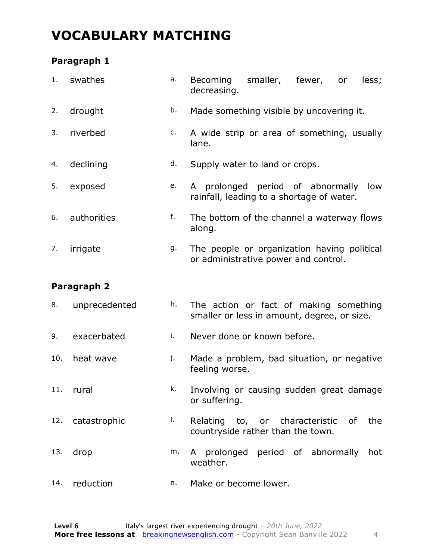### **VOCABULARY MATCHING**

#### **Paragraph 1**

| 1.  | swathes       | a. | smaller, fewer,<br>Becoming<br>less;<br>or<br>decreasing.                             |
|-----|---------------|----|---------------------------------------------------------------------------------------|
| 2.  | drought       | b. | Made something visible by uncovering it.                                              |
| 3.  | riverbed      | c. | A wide strip or area of something, usually<br>lane.                                   |
| 4.  | declining     | d. | Supply water to land or crops.                                                        |
| 5.  | exposed       | e. | A prolonged period of abnormally<br>low<br>rainfall, leading to a shortage of water.  |
| 6.  | authorities   | f. | The bottom of the channel a waterway flows<br>along.                                  |
| 7.  | irrigate      | g. | The people or organization having political<br>or administrative power and control.   |
|     | Paragraph 2   |    |                                                                                       |
| 8.  | unprecedented | h. | The action or fact of making something<br>smaller or less in amount, degree, or size. |
| 9.  | exacerbated   | i. | Never done or known before.                                                           |
| 10. | heat wave     | j. | Made a problem, bad situation, or negative<br>feeling worse.                          |
|     | 11. rural     | k. | Involving or causing sudden great damage<br>or suffering.                             |
| 12. | catastrophic  | Τ. | Relating to, or characteristic of<br>the<br>countryside rather than the town.         |
| 13. | drop          | m. | A prolonged period of abnormally hot<br>weather.                                      |
| 14. | reduction     | n. | Make or become lower.                                                                 |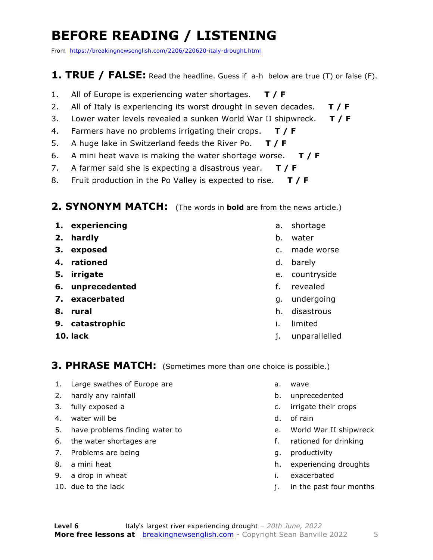### **BEFORE READING / LISTENING**

From https://breakingnewsenglish.com/2206/220620-italy-drought.html

#### **1. TRUE / FALSE:** Read the headline. Guess if a-h below are true (T) or false (F).

- 1. All of Europe is experiencing water shortages. **T / F**
- 2. All of Italy is experiencing its worst drought in seven decades. **T / F**
- 3. Lower water levels revealed a sunken World War II shipwreck. **T / F**
- 4. Farmers have no problems irrigating their crops. **T / F**
- 5. A huge lake in Switzerland feeds the River Po. **T / F**
- 6. A mini heat wave is making the water shortage worse. **T / F**
- 7. A farmer said she is expecting a disastrous year. **T / F**
- 8. Fruit production in the Po Valley is expected to rise. **T / F**

#### **2. SYNONYM MATCH:** (The words in **bold** are from the news article.)

- **1. experiencing**
- **2. hardly**
- **3. exposed**
- **4. rationed**
- **5. irrigate**
- **6. unprecedented**
- **7. exacerbated**
- **8. rural**
- **9. catastrophic**
- **10. lack**
- a. shortage
- b. water
- c. made worse
- d. barely
- e. countryside
- f. revealed
- g. undergoing
- h. disastrous
- i. limited
- j. unparallelled

#### **3. PHRASE MATCH:** (Sometimes more than one choice is possible.)

- 1. Large swathes of Europe are
- 2. hardly any rainfall
- 3. fully exposed a
- 4. water will be
- 5. have problems finding water to
- 6. the water shortages are
- 7. Problems are being
- 8. a mini heat
- 9. a drop in wheat
- 10. due to the lack
- a. wave
- b. unprecedented
- c. irrigate their crops
- d. of rain
- e. World War II shipwreck
- f. rationed for drinking
- g. productivity
- h. experiencing droughts
- i. exacerbated
- j. in the past four months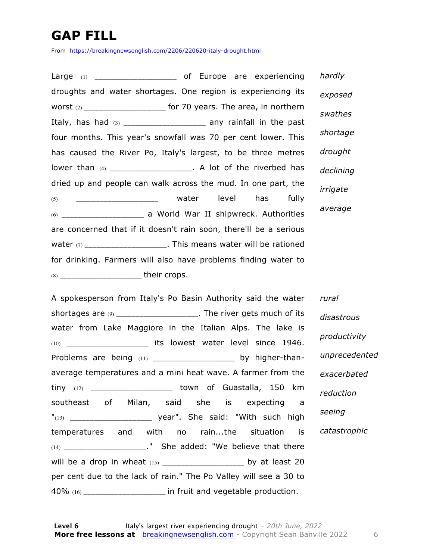### **GAP FILL**

From https://breakingnewsenglish.com/2206/220620-italy-drought.html

Large (1) \_\_\_\_\_\_\_\_\_\_\_\_\_\_\_\_\_\_\_\_\_\_\_\_\_\_ of Europe are experiencing droughts and water shortages. One region is experiencing its worst  $(2)$  \_\_\_\_\_\_\_\_\_\_\_\_\_\_\_\_\_\_\_\_\_\_\_\_ for 70 years. The area, in northern Italy, has had (3) \_\_\_\_\_\_\_\_\_\_\_\_\_\_\_\_\_\_\_\_\_ any rainfall in the past four months. This year's snowfall was 70 per cent lower. This has caused the River Po, Italy's largest, to be three metres lower than (4) \_\_\_\_\_\_\_\_\_\_\_\_\_\_\_\_\_\_\_\_\_\_. A lot of the riverbed has dried up and people can walk across the mud. In one part, the  $(5)$  \_\_\_\_\_\_\_\_\_\_\_\_\_\_\_\_\_\_\_\_ water level has fully (6) \_\_\_\_\_\_\_\_\_\_\_\_\_\_\_\_\_\_\_\_\_ a World War II shipwreck. Authorities are concerned that if it doesn't rain soon, there'll be a serious water  $(7)$  \_\_\_\_\_\_\_\_\_\_\_\_\_\_\_\_\_\_\_\_\_. This means water will be rationed for drinking. Farmers will also have problems finding water to (8) \_\_\_\_\_\_\_\_\_\_\_\_\_\_\_\_\_\_\_\_\_ their crops. *hardly exposed swathes shortage drought declining irrigate average*

A spokesperson from Italy's Po Basin Authority said the water shortages are  $(9)$  \_\_\_\_\_\_\_\_\_\_\_\_\_\_\_\_\_\_\_\_\_. The river gets much of its water from Lake Maggiore in the Italian Alps. The lake is (10) \_\_\_\_\_\_\_\_\_\_\_\_\_\_\_\_\_\_\_\_\_ its lowest water level since 1946. Problems are being (11) \_\_\_\_\_\_\_\_\_\_\_\_\_\_\_\_\_\_\_\_\_\_ by higher-thanaverage temperatures and a mini heat wave. A farmer from the tiny (12) \_\_\_\_\_\_\_\_\_\_\_\_\_\_\_\_\_\_\_\_\_ town of Guastalla, 150 km southeast of Milan, said she is expecting a "(13) \_\_\_\_\_\_\_\_\_\_\_\_\_\_\_\_\_\_\_\_\_ year". She said: "With such high temperatures and with no rain...the situation is (14) \_\_\_\_\_\_\_\_\_\_\_\_\_\_\_\_\_\_\_\_\_\_\_." She added: "We believe that there will be a drop in wheat (15) \_\_\_\_\_\_\_\_\_\_\_\_\_\_\_\_\_\_\_\_\_ by at least 20 per cent due to the lack of rain." The Po Valley will see a 30 to 40% (16) \_\_\_\_\_\_\_\_\_\_\_\_\_\_\_\_\_\_\_\_\_ in fruit and vegetable production. *rural disastrous productivity unprecedented exacerbated reduction seeing catastrophic*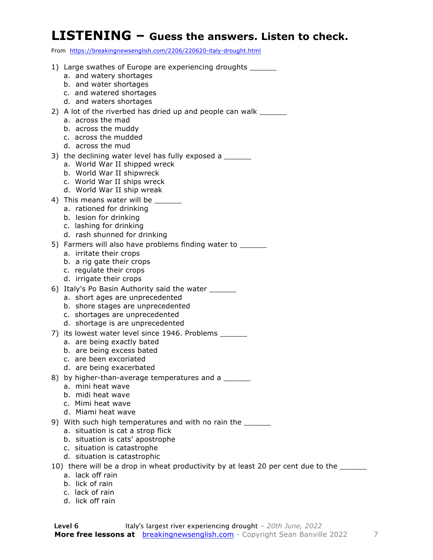#### **LISTENING – Guess the answers. Listen to check.**

From https://breakingnewsenglish.com/2206/220620-italy-drought.html

- 1) Large swathes of Europe are experiencing droughts a. and watery shortages b. and water shortages c. and watered shortages d. and waters shortages 2) A lot of the riverbed has dried up and people can walk a. across the mad b. across the muddy c. across the mudded d. across the mud 3) the declining water level has fully exposed a a. World War II shipped wreck b. World War II shipwreck c. World War II ships wreck d. World War II ship wreak 4) This means water will be \_\_\_\_\_\_\_ a. rationed for drinking b. lesion for drinking c. lashing for drinking d. rash shunned for drinking 5) Farmers will also have problems finding water to \_\_\_\_\_\_ a. irritate their crops b. a rig gate their crops c. regulate their crops d. irrigate their crops 6) Italy's Po Basin Authority said the water a. short ages are unprecedented b. shore stages are unprecedented c. shortages are unprecedented d. shortage is are unprecedented 7) its lowest water level since 1946. Problems a. are being exactly bated b. are being excess bated c. are been excoriated d. are being exacerbated 8) by higher-than-average temperatures and a a. mini heat wave b. midi heat wave c. Mimi heat wave d. Miami heat wave 9) With such high temperatures and with no rain the \_\_\_\_\_\_\_ a. situation is cat a strop flick b. situation is cats' apostrophe c. situation is catastrophe d. situation is catastrophic 10) there will be a drop in wheat productivity by at least 20 per cent due to the \_\_\_\_\_\_ a. lack off rain
	- b. lick of rain
	- c. lack of rain
	- d. lick off rain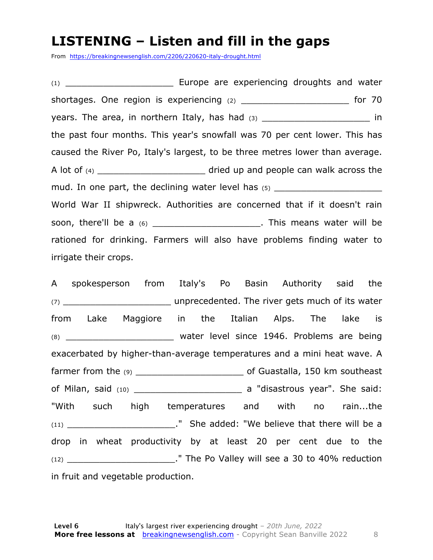#### **LISTENING – Listen and fill in the gaps**

From https://breakingnewsenglish.com/2206/220620-italy-drought.html

(1) \_\_\_\_\_\_\_\_\_\_\_\_\_\_\_\_\_\_\_\_ Europe are experiencing droughts and water shortages. One region is experiencing  $(2)$  \_\_\_\_\_\_\_\_\_\_\_\_\_\_\_\_\_\_\_\_\_\_\_\_\_\_\_\_\_\_\_ for 70 years. The area, in northern Italy, has had (3) \_\_\_\_\_\_\_\_\_\_\_\_\_\_\_\_\_\_\_\_\_\_\_\_\_\_ in the past four months. This year's snowfall was 70 per cent lower. This has caused the River Po, Italy's largest, to be three metres lower than average. A lot of (4) \_\_\_\_\_\_\_\_\_\_\_\_\_\_\_\_\_\_\_\_\_\_\_\_\_\_\_ dried up and people can walk across the mud. In one part, the declining water level has  $(5)$ World War II shipwreck. Authorities are concerned that if it doesn't rain soon, there'll be a (6) \_\_\_\_\_\_\_\_\_\_\_\_\_\_\_\_\_\_\_\_\_\_\_\_. This means water will be rationed for drinking. Farmers will also have problems finding water to irrigate their crops.

A spokesperson from Italy's Po Basin Authority said the (7) \_\_\_\_\_\_\_\_\_\_\_\_\_\_\_\_\_\_\_\_ unprecedented. The river gets much of its water from Lake Maggiore in the Italian Alps. The lake is (8) **Example 20 and Street Water level since 1946. Problems are being** exacerbated by higher-than-average temperatures and a mini heat wave. A farmer from the (9) \_\_\_\_\_\_\_\_\_\_\_\_\_\_\_\_\_\_\_\_ of Guastalla, 150 km southeast of Milan, said (10) \_\_\_\_\_\_\_\_\_\_\_\_\_\_\_\_\_\_\_\_ a "disastrous year". She said: "With such high temperatures and with no rain...the (11) **Example 2 Concerns 2** The added: "We believe that there will be a drop in wheat productivity by at least 20 per cent due to the (12) The Po Valley will see a 30 to 40% reduction in fruit and vegetable production.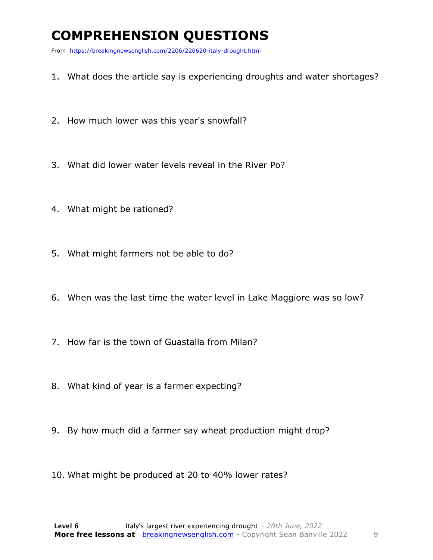### **COMPREHENSION QUESTIONS**

From https://breakingnewsenglish.com/2206/220620-italy-drought.html

- 1. What does the article say is experiencing droughts and water shortages?
- 2. How much lower was this year's snowfall?
- 3. What did lower water levels reveal in the River Po?
- 4. What might be rationed?
- 5. What might farmers not be able to do?
- 6. When was the last time the water level in Lake Maggiore was so low?
- 7. How far is the town of Guastalla from Milan?
- 8. What kind of year is a farmer expecting?
- 9. By how much did a farmer say wheat production might drop?
- 10. What might be produced at 20 to 40% lower rates?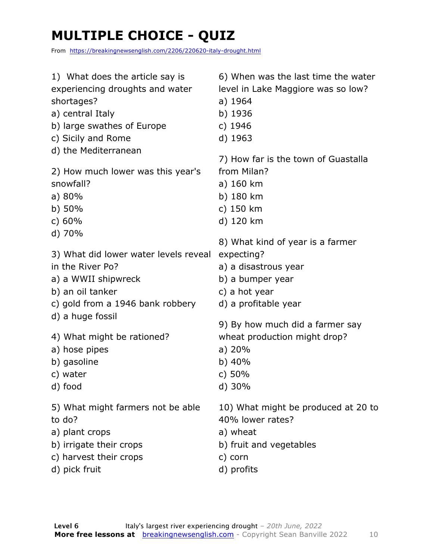### **MULTIPLE CHOICE - QUIZ**

From https://breakingnewsenglish.com/2206/220620-italy-drought.html

| 1) What does the article say is<br>experiencing droughts and water<br>shortages?<br>a) central Italy<br>b) large swathes of Europe<br>c) Sicily and Rome<br>d) the Mediterranean | 6) When was the last time the water<br>level in Lake Maggiore was so low?<br>a) 1964<br>b) 1936<br>c) 1946<br>d) 1963                                                  |
|----------------------------------------------------------------------------------------------------------------------------------------------------------------------------------|------------------------------------------------------------------------------------------------------------------------------------------------------------------------|
| 2) How much lower was this year's                                                                                                                                                | 7) How far is the town of Guastalla                                                                                                                                    |
| snowfall?                                                                                                                                                                        | from Milan?                                                                                                                                                            |
| a) 80%                                                                                                                                                                           | a) 160 km                                                                                                                                                              |
| $b)$ 50%                                                                                                                                                                         | b) 180 km                                                                                                                                                              |
| c) $60%$                                                                                                                                                                         | c) 150 km                                                                                                                                                              |
| d) 70%                                                                                                                                                                           | d) 120 km                                                                                                                                                              |
| 3) What did lower water levels reveal<br>in the River Po?<br>a) a WWII shipwreck<br>b) an oil tanker<br>c) gold from a 1946 bank robbery<br>d) a huge fossil                     | 8) What kind of year is a farmer<br>expecting?<br>a) a disastrous year<br>b) a bumper year<br>c) a hot year<br>d) a profitable year<br>9) By how much did a farmer say |
| 4) What might be rationed?                                                                                                                                                       | wheat production might drop?                                                                                                                                           |
| a) hose pipes                                                                                                                                                                    | a) 20%                                                                                                                                                                 |
| b) gasoline                                                                                                                                                                      | b) $40%$                                                                                                                                                               |
| c) water                                                                                                                                                                         | c) $50%$                                                                                                                                                               |
| d) food                                                                                                                                                                          | $d)$ 30%                                                                                                                                                               |
| 5) What might farmers not be able                                                                                                                                                | 10) What might be produced at 20 to                                                                                                                                    |
| to do?                                                                                                                                                                           | 40% lower rates?                                                                                                                                                       |
| a) plant crops                                                                                                                                                                   | a) wheat                                                                                                                                                               |
| b) irrigate their crops                                                                                                                                                          | b) fruit and vegetables                                                                                                                                                |
| c) harvest their crops                                                                                                                                                           | c) corn                                                                                                                                                                |
| d) pick fruit                                                                                                                                                                    | d) profits                                                                                                                                                             |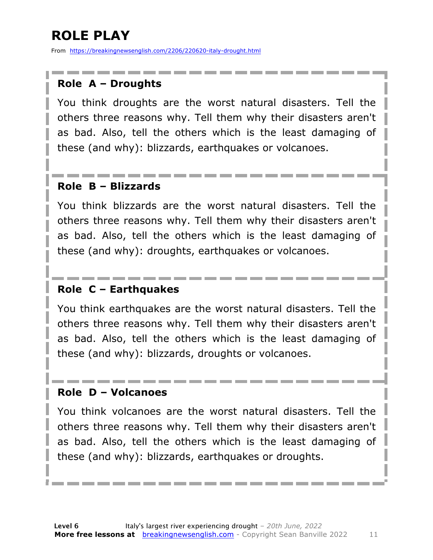### **ROLE PLAY**

From https://breakingnewsenglish.com/2206/220620-italy-drought.html

#### **Role A – Droughts**

You think droughts are the worst natural disasters. Tell the others three reasons why. Tell them why their disasters aren't as bad. Also, tell the others which is the least damaging of these (and why): blizzards, earthquakes or volcanoes.

#### **Role B – Blizzards**

You think blizzards are the worst natural disasters. Tell the others three reasons why. Tell them why their disasters aren't as bad. Also, tell the others which is the least damaging of these (and why): droughts, earthquakes or volcanoes.

#### **Role C – Earthquakes**

You think earthquakes are the worst natural disasters. Tell the others three reasons why. Tell them why their disasters aren't as bad. Also, tell the others which is the least damaging of these (and why): blizzards, droughts or volcanoes.

#### **Role D – Volcanoes**

You think volcanoes are the worst natural disasters. Tell the others three reasons why. Tell them why their disasters aren't as bad. Also, tell the others which is the least damaging of these (and why): blizzards, earthquakes or droughts.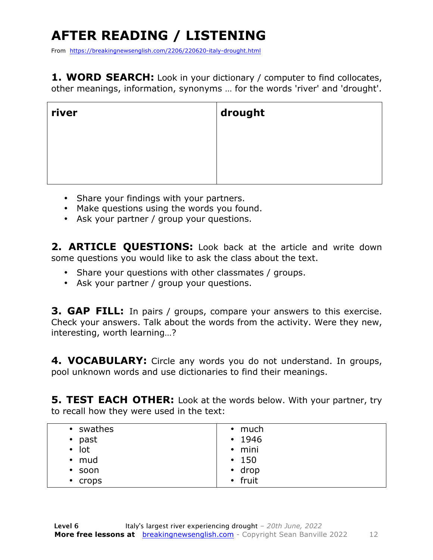## **AFTER READING / LISTENING**

From https://breakingnewsenglish.com/2206/220620-italy-drought.html

**1. WORD SEARCH:** Look in your dictionary / computer to find collocates, other meanings, information, synonyms … for the words 'river' and 'drought'.

| river | drought |
|-------|---------|
|       |         |
|       |         |

- Share your findings with your partners.
- Make questions using the words you found.
- Ask your partner / group your questions.

2. **ARTICLE OUESTIONS:** Look back at the article and write down some questions you would like to ask the class about the text.

- Share your questions with other classmates / groups.
- Ask your partner / group your questions.

**3. GAP FILL:** In pairs / groups, compare your answers to this exercise. Check your answers. Talk about the words from the activity. Were they new, interesting, worth learning…?

**4. VOCABULARY:** Circle any words you do not understand. In groups, pool unknown words and use dictionaries to find their meanings.

**5. TEST EACH OTHER:** Look at the words below. With your partner, try to recall how they were used in the text:

| • swathes         | $\cdot$ much |
|-------------------|--------------|
|                   |              |
| past<br>$\bullet$ | $\cdot$ 1946 |
| $\bullet$ lot     | $\cdot$ mini |
| $\cdot$ mud       | $\cdot$ 150  |
| $\cdot$ soon      | $\cdot$ drop |
| • crops           | • fruit      |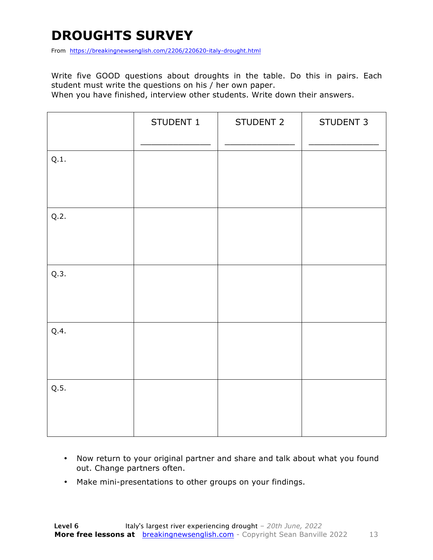### **DROUGHTS SURVEY**

From https://breakingnewsenglish.com/2206/220620-italy-drought.html

Write five GOOD questions about droughts in the table. Do this in pairs. Each student must write the questions on his / her own paper.

When you have finished, interview other students. Write down their answers.

|      | STUDENT 1 | STUDENT 2 | STUDENT 3 |
|------|-----------|-----------|-----------|
| Q.1. |           |           |           |
| Q.2. |           |           |           |
| Q.3. |           |           |           |
| Q.4. |           |           |           |
| Q.5. |           |           |           |

- Now return to your original partner and share and talk about what you found out. Change partners often.
- Make mini-presentations to other groups on your findings.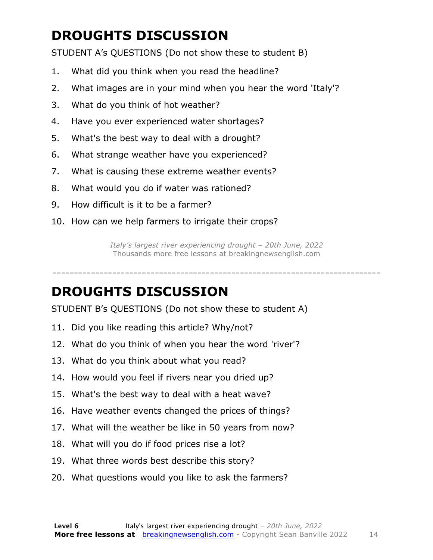### **DROUGHTS DISCUSSION**

STUDENT A's QUESTIONS (Do not show these to student B)

- 1. What did you think when you read the headline?
- 2. What images are in your mind when you hear the word 'Italy'?
- 3. What do you think of hot weather?
- 4. Have you ever experienced water shortages?
- 5. What's the best way to deal with a drought?
- 6. What strange weather have you experienced?
- 7. What is causing these extreme weather events?
- 8. What would you do if water was rationed?
- 9. How difficult is it to be a farmer?
- 10. How can we help farmers to irrigate their crops?

*Italy's largest river experiencing drought – 20th June, 2022* Thousands more free lessons at breakingnewsenglish.com

-----------------------------------------------------------------------------

#### **DROUGHTS DISCUSSION**

STUDENT B's QUESTIONS (Do not show these to student A)

- 11. Did you like reading this article? Why/not?
- 12. What do you think of when you hear the word 'river'?
- 13. What do you think about what you read?
- 14. How would you feel if rivers near you dried up?
- 15. What's the best way to deal with a heat wave?
- 16. Have weather events changed the prices of things?
- 17. What will the weather be like in 50 years from now?
- 18. What will you do if food prices rise a lot?
- 19. What three words best describe this story?
- 20. What questions would you like to ask the farmers?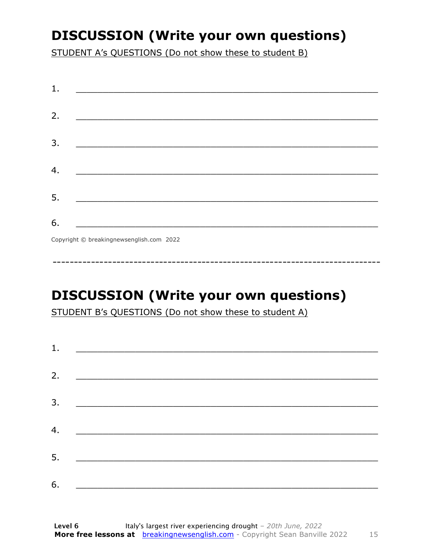### **DISCUSSION (Write your own questions)**

STUDENT A's QUESTIONS (Do not show these to student B)

| 1. |                                          |
|----|------------------------------------------|
|    |                                          |
| 2. |                                          |
|    |                                          |
| 3. |                                          |
|    |                                          |
|    |                                          |
| 4. |                                          |
|    |                                          |
| 5. |                                          |
|    |                                          |
| 6. |                                          |
|    | Copyright © breakingnewsenglish.com 2022 |

### **DISCUSSION (Write your own questions)**

STUDENT B's QUESTIONS (Do not show these to student A)

| 1. | <u> Alexandria de la contrada de la contrada de la contrada de la contrada de la contrada de la contrada de la c</u> |  |  |
|----|----------------------------------------------------------------------------------------------------------------------|--|--|
|    |                                                                                                                      |  |  |
| 2. |                                                                                                                      |  |  |
| 3. |                                                                                                                      |  |  |
| 4. |                                                                                                                      |  |  |
|    |                                                                                                                      |  |  |
| 5. |                                                                                                                      |  |  |
| 6. |                                                                                                                      |  |  |
|    |                                                                                                                      |  |  |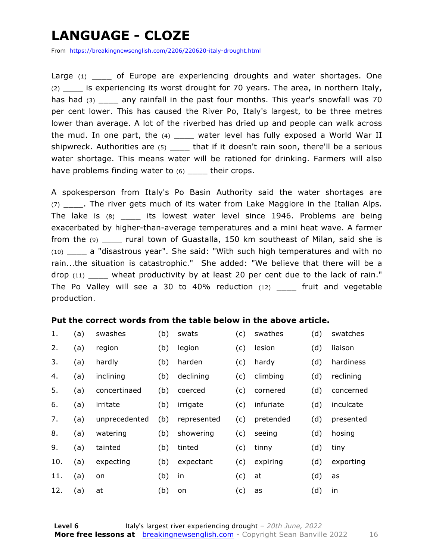### **LANGUAGE - CLOZE**

From https://breakingnewsenglish.com/2206/220620-italy-drought.html

Large (1) of Europe are experiencing droughts and water shortages. One (2) \_\_\_\_ is experiencing its worst drought for 70 years. The area, in northern Italy, has had (3) any rainfall in the past four months. This year's snowfall was 70 per cent lower. This has caused the River Po, Italy's largest, to be three metres lower than average. A lot of the riverbed has dried up and people can walk across the mud. In one part, the  $(4)$  \_\_\_\_ water level has fully exposed a World War II shipwreck. Authorities are (5) that if it doesn't rain soon, there'll be a serious water shortage. This means water will be rationed for drinking. Farmers will also have problems finding water to  $(6)$  \_\_\_\_ their crops.

A spokesperson from Italy's Po Basin Authority said the water shortages are (7) The river gets much of its water from Lake Maggiore in the Italian Alps. The lake is  $(8)$  its lowest water level since 1946. Problems are being exacerbated by higher-than-average temperatures and a mini heat wave. A farmer from the (9) \_\_\_\_ rural town of Guastalla, 150 km southeast of Milan, said she is (10) \_\_\_\_ a "disastrous year". She said: "With such high temperatures and with no rain...the situation is catastrophic." She added: "We believe that there will be a drop (11) \_\_\_\_ wheat productivity by at least 20 per cent due to the lack of rain." The Po Valley will see a 30 to 40% reduction (12) \_\_\_\_ fruit and vegetable production.

#### **Put the correct words from the table below in the above article.**

| 1.  | (a) | swashes       | (b) | swats       | (c) | swathes   | (d) | swatches  |
|-----|-----|---------------|-----|-------------|-----|-----------|-----|-----------|
| 2.  | (a) | region        | (b) | legion      | (c) | lesion    | (d) | liaison   |
| 3.  | (a) | hardly        | (b) | harden      | (c) | hardy     | (d) | hardiness |
| 4.  | (a) | inclining     | (b) | declining   | (c) | climbing  | (d) | reclining |
| 5.  | (a) | concertinaed  | (b) | coerced     | (c) | cornered  | (d) | concerned |
| 6.  | (a) | irritate      | (b) | irrigate    | (c) | infuriate | (d) | inculcate |
| 7.  | (a) | unprecedented | (b) | represented | (c) | pretended | (d) | presented |
| 8.  | (a) | watering      | (b) | showering   | (c) | seeing    | (d) | hosing    |
| 9.  | (a) | tainted       | (b) | tinted      | (c) | tinny     | (d) | tiny      |
| 10. | (a) | expecting     | (b) | expectant   | (c) | expiring  | (d) | exporting |
| 11. | (a) | on            | (b) | in          | (c) | at        | (d) | as        |
| 12. | (a) | at            | (b) | on          | (c) | as        | (d) | in        |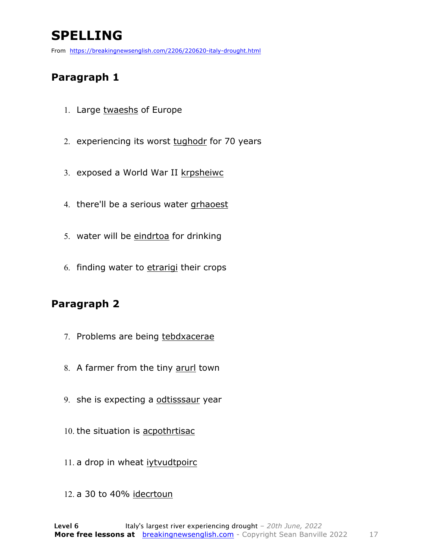### **SPELLING**

From https://breakingnewsenglish.com/2206/220620-italy-drought.html

#### **Paragraph 1**

- 1. Large twaeshs of Europe
- 2. experiencing its worst tughodr for 70 years
- 3. exposed a World War II krpsheiwc
- 4. there'll be a serious water grhaoest
- 5. water will be eindrtoa for drinking
- 6. finding water to etrarigi their crops

#### **Paragraph 2**

- 7. Problems are being tebdxacerae
- 8. A farmer from the tiny arurl town
- 9. she is expecting a odtisssaur year
- 10. the situation is acpothrtisac
- 11. a drop in wheat ivtvudtpoirc
- 12. a 30 to 40% idecrtoun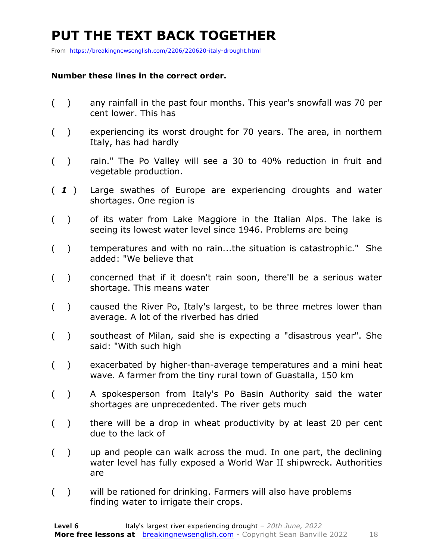### **PUT THE TEXT BACK TOGETHER**

From https://breakingnewsenglish.com/2206/220620-italy-drought.html

#### **Number these lines in the correct order.**

- ( ) any rainfall in the past four months. This year's snowfall was 70 per cent lower. This has
- ( ) experiencing its worst drought for 70 years. The area, in northern Italy, has had hardly
- ( ) rain." The Po Valley will see a 30 to 40% reduction in fruit and vegetable production.
- ( *1* ) Large swathes of Europe are experiencing droughts and water shortages. One region is
- ( ) of its water from Lake Maggiore in the Italian Alps. The lake is seeing its lowest water level since 1946. Problems are being
- ( ) temperatures and with no rain...the situation is catastrophic." She added: "We believe that
- ( ) concerned that if it doesn't rain soon, there'll be a serious water shortage. This means water
- ( ) caused the River Po, Italy's largest, to be three metres lower than average. A lot of the riverbed has dried
- ( ) southeast of Milan, said she is expecting a "disastrous year". She said: "With such high
- ( ) exacerbated by higher-than-average temperatures and a mini heat wave. A farmer from the tiny rural town of Guastalla, 150 km
- ( ) A spokesperson from Italy's Po Basin Authority said the water shortages are unprecedented. The river gets much
- ( ) there will be a drop in wheat productivity by at least 20 per cent due to the lack of
- ( ) up and people can walk across the mud. In one part, the declining water level has fully exposed a World War II shipwreck. Authorities are
- ( ) will be rationed for drinking. Farmers will also have problems finding water to irrigate their crops.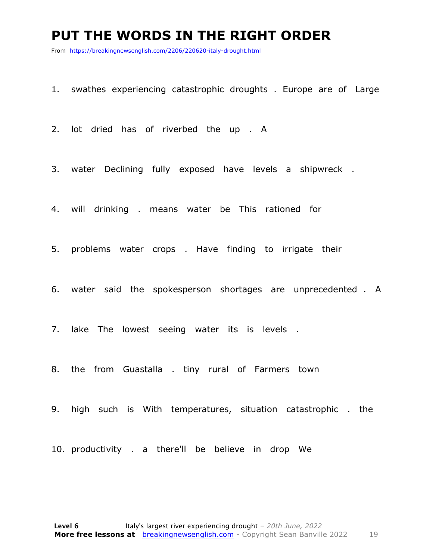#### **PUT THE WORDS IN THE RIGHT ORDER**

From https://breakingnewsenglish.com/2206/220620-italy-drought.html

- 1. swathes experiencing catastrophic droughts . Europe are of Large
- 2. lot dried has of riverbed the up . A
- 3. water Declining fully exposed have levels a shipwreck .
- 4. will drinking . means water be This rationed for
- 5. problems water crops . Have finding to irrigate their
- 6. water said the spokesperson shortages are unprecedented . A
- 7. lake The lowest seeing water its is levels .
- 8. the from Guastalla . tiny rural of Farmers town
- 9. high such is With temperatures, situation catastrophic . the
- 10. productivity . a there'll be believe in drop We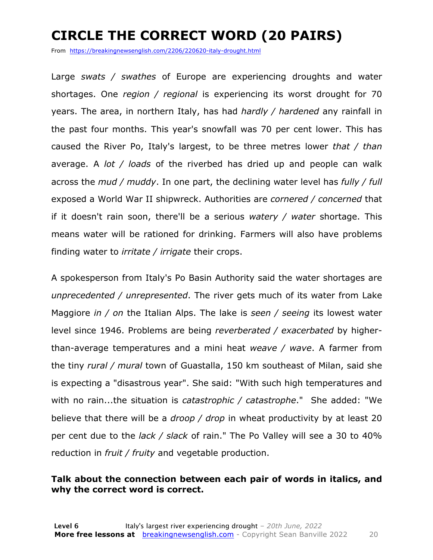### **CIRCLE THE CORRECT WORD (20 PAIRS)**

From https://breakingnewsenglish.com/2206/220620-italy-drought.html

Large *swats / swathes* of Europe are experiencing droughts and water shortages. One *region / regional* is experiencing its worst drought for 70 years. The area, in northern Italy, has had *hardly / hardened* any rainfall in the past four months. This year's snowfall was 70 per cent lower. This has caused the River Po, Italy's largest, to be three metres lower *that / than* average. A *lot / loads* of the riverbed has dried up and people can walk across the *mud / muddy*. In one part, the declining water level has *fully / full* exposed a World War II shipwreck. Authorities are *cornered / concerned* that if it doesn't rain soon, there'll be a serious *watery / water* shortage. This means water will be rationed for drinking. Farmers will also have problems finding water to *irritate / irrigate* their crops.

A spokesperson from Italy's Po Basin Authority said the water shortages are *unprecedented / unrepresented*. The river gets much of its water from Lake Maggiore *in / on* the Italian Alps. The lake is *seen / seeing* its lowest water level since 1946. Problems are being *reverberated / exacerbated* by higherthan-average temperatures and a mini heat *weave / wave*. A farmer from the tiny *rural / mural* town of Guastalla, 150 km southeast of Milan, said she is expecting a "disastrous year". She said: "With such high temperatures and with no rain...the situation is *catastrophic / catastrophe*." She added: "We believe that there will be a *droop / drop* in wheat productivity by at least 20 per cent due to the *lack / slack* of rain." The Po Valley will see a 30 to 40% reduction in *fruit / fruity* and vegetable production.

#### **Talk about the connection between each pair of words in italics, and why the correct word is correct.**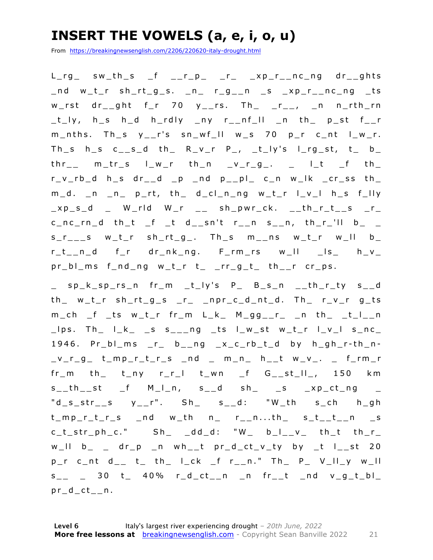### **INSERT THE VOWELS (a, e, i, o, u)**

From https://breakingnewsenglish.com/2206/220620-italy-drought.html

 $L_r g$  sw\_th\_s \_f \_\_r\_p\_ \_r\_ \_xp\_r\_\_nc\_ng dr\_\_ghts \_nd w\_t\_r sh\_rt\_g\_s. \_n\_ r\_g\_\_n \_s \_xp\_r\_\_nc\_ng \_ts w\_rst dr\_\_ght f\_r 70  $y$ \_\_rs. Th\_ \_r\_\_, \_n n\_rth\_rn \_t\_ly, h\_s h\_d h\_rdly \_ny r\_\_nf\_ll \_n th\_ p\_st f\_\_r  $m_$ nths. Th\_s  $y_$ -r's sn\_wf\_ll w\_s 70 p\_r c\_nt l\_w\_r. Th\_s h\_s c\_\_s\_d th\_ R\_v\_r P\_, \_t\_ly's l\_rg\_st, t\_ b\_  $thr$  m\_tr\_s  $l$ \_w\_r th\_n \_v\_r\_g\_. \_  $l$ \_t \_f th\_  $r_v_r$ -rb\_d h\_s dr\_\_d \_p \_nd p\_\_pl\_ c\_n w\_lk \_cr\_ss th\_ m\_d. \_n \_n\_ p\_rt, th\_ d\_cl\_n\_ng w\_t\_r l\_v\_l h\_s f\_lly  $xy_s_d$  \_ W\_rld W\_r \_\_ sh\_pwr\_ck. \_\_th\_r\_t\_\_s \_r\_  $c\_nc\_rn\_d$  th\_t \_f \_t d\_\_sn't r\_\_n s\_\_n, th\_r\_'ll b\_ \_ s\_r\_\_\_s w\_t\_r sh\_rt\_g\_. Th\_s m\_\_ns w\_t\_r w \_ll b\_ r\_t\_\_n\_d f\_r dr\_nk\_ng. F\_rm\_rs w\_ll \_ls\_ h\_v\_ pr\_bl\_ms f\_nd\_ng w\_t\_r t\_ \_rr\_g\_t\_ th\_\_r cr\_ps.

\_ sp\_k\_sp\_rs\_n fr\_m \_t\_ly's P\_ B\_s\_n \_\_th\_r\_ty s\_\_d th\_ w\_t\_r sh\_rt\_g\_s \_r\_ \_npr\_c\_d\_nt\_d. Th\_ r\_v\_r g\_ts  $m_{ch}$   $f$   $_t$ s w\_t\_r fr\_m L\_k\_ M\_gg\_\_r\_ \_n th\_ \_t\_l\_\_n \_lps. Th\_ l\_k\_ \_s s\_\_\_ng \_ts l\_w\_st w\_t\_r l\_v\_l s\_nc\_  $1946.$  Pr\_bl\_ms \_r\_ b\_\_ng \_x\_c\_rb\_t\_d by h\_gh\_r-th\_n $v_r_g = v_r_g - v_{m-1}$  ,  $v_{m-1}$  ,  $v_{m-2}$  ,  $v_{m-1}$  ,  $v_{m-2}$  ,  $v_{m-1}$  ,  $v_{m-2}$  ,  $v_{m-1}$  $fr_m$  th\_ t\_ny r\_r\_l t\_wn \_f G\_\_st\_ll\_, 150 km  $s_t = th_t + st$  f  $M_l = n$ ,  $s_t = d$  she are  $s_t = xp_t + np$  $'d$ <sub>-</sub>s\_str<sub>--</sub>s y<sub>--</sub>r". Sh<sub>-</sub> s<sub>--</sub>d: "W<sub>-</sub>th s<sub>-</sub>ch h<sub>-</sub>gh t\_mp\_r\_t\_r\_s \_nd w\_th n\_ r\_\_n...th\_ s\_t\_\_t\_\_n \_s  $c_t$ \_str\_ph\_c." Sh\_ \_dd\_d: "W\_ b\_l\_\_v\_ th\_t th\_r\_  $w_l$ ll  $b$  \_ dr\_p \_n wh\_\_t pr\_d\_ct\_v\_ty by \_t l\_\_st 20  $p_r$  c\_nt d\_\_ t\_ th\_ l\_ck \_f r\_\_n." Th\_ P\_ V\_ll\_y w\_ll  $s_{--}$  30 t 40% r\_d\_ct\_n \_n fr\_t \_nd v\_g\_t\_bl\_ pr\_d\_ct\_n.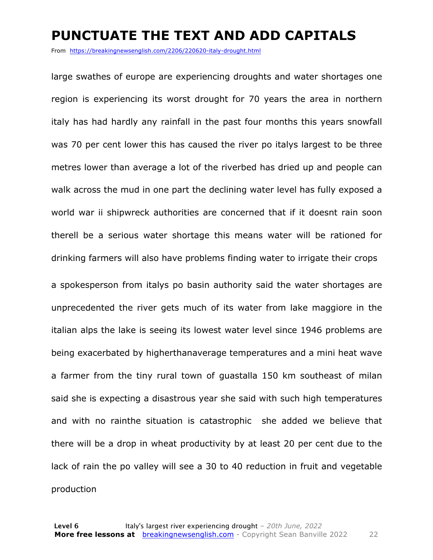#### **PUNCTUATE THE TEXT AND ADD CAPITALS**

From https://breakingnewsenglish.com/2206/220620-italy-drought.html

large swathes of europe are experiencing droughts and water shortages one region is experiencing its worst drought for 70 years the area in northern italy has had hardly any rainfall in the past four months this years snowfall was 70 per cent lower this has caused the river po italys largest to be three metres lower than average a lot of the riverbed has dried up and people can walk across the mud in one part the declining water level has fully exposed a world war ii shipwreck authorities are concerned that if it doesnt rain soon therell be a serious water shortage this means water will be rationed for drinking farmers will also have problems finding water to irrigate their crops

a spokesperson from italys po basin authority said the water shortages are unprecedented the river gets much of its water from lake maggiore in the italian alps the lake is seeing its lowest water level since 1946 problems are being exacerbated by higherthanaverage temperatures and a mini heat wave a farmer from the tiny rural town of guastalla 150 km southeast of milan said she is expecting a disastrous year she said with such high temperatures and with no rainthe situation is catastrophic she added we believe that there will be a drop in wheat productivity by at least 20 per cent due to the lack of rain the po valley will see a 30 to 40 reduction in fruit and vegetable production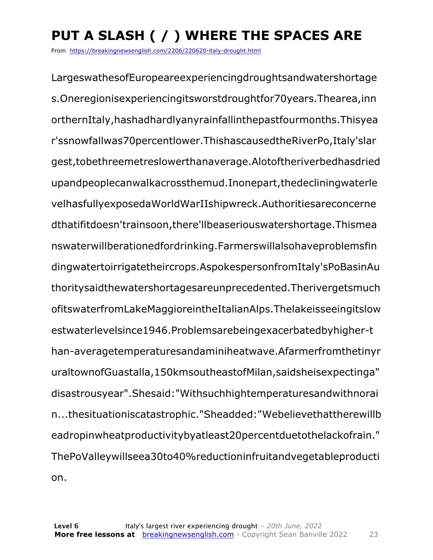### **PUT A SLASH ( / ) WHERE THE SPACES ARE**

From https://breakingnewsenglish.com/2206/220620-italy-drought.html

LargeswathesofEuropeareexperiencingdroughtsandwatershortage s.Oneregionisexperiencingitsworstdroughtfor70years.Thearea,inn orthernItaly,hashadhardlyanyrainfallinthepastfourmonths.Thisyea r'ssnowfallwas70percentlower.ThishascausedtheRiverPo,Italy'slar gest,tobethreemetreslowerthanaverage.Alotoftheriverbedhasdried upandpeoplecanwalkacrossthemud.Inonepart,thedecliningwaterle velhasfullyexposedaWorldWarIIshipwreck.Authoritiesareconcerne dthatifitdoesn'trainsoon,there'llbeaseriouswatershortage.Thismea nswaterwillberationedfordrinking.Farmerswillalsohaveproblemsfin dingwatertoirrigatetheircrops.AspokespersonfromItaly'sPoBasinAu thoritysaidthewatershortagesareunprecedented.Therivergetsmuch ofitswaterfromLakeMaggioreintheItalianAlps.Thelakeisseeingitslow estwaterlevelsince1946.Problemsarebeingexacerbatedbyhigher-t han-averagetemperaturesandaminiheatwave.Afarmerfromthetinyr uraltownofGuastalla,150kmsoutheastofMilan,saidsheisexpectinga" disastrousyear".Shesaid:"Withsuchhightemperaturesandwithnorai n...thesituationiscatastrophic."Sheadded:"Webelievethattherewillb eadropinwheatproductivitybyatleast20percentduetothelackofrain." ThePoValleywillseea30to40%reductioninfruitandvegetableproducti on.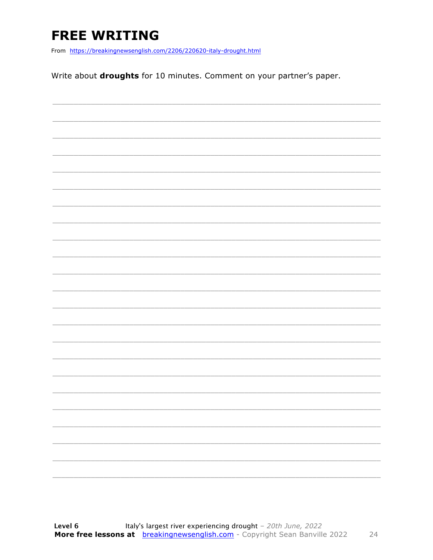### **FREE WRITING**

From https://breakingnewsenglish.com/2206/220620-italy-drought.html

Write about droughts for 10 minutes. Comment on your partner's paper.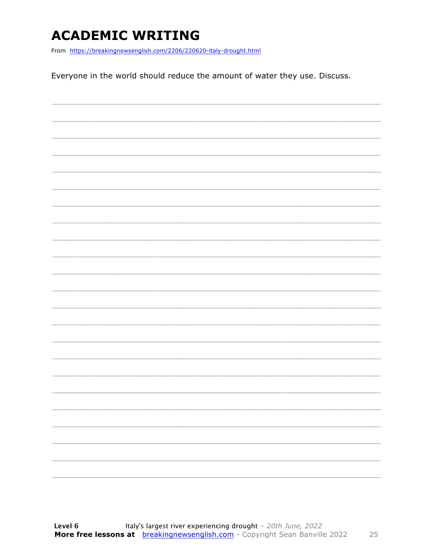### **ACADEMIC WRITING**

From https://breakingnewsenglish.com/2206/220620-italy-drought.html

Everyone in the world should reduce the amount of water they use. Discuss.

|  | $\overline{\phantom{0}}$ |
|--|--------------------------|
|  |                          |
|  |                          |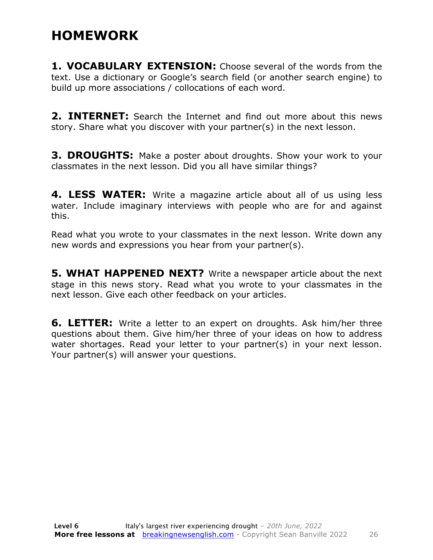#### **HOMEWORK**

**1. VOCABULARY EXTENSION:** Choose several of the words from the text. Use a dictionary or Google's search field (or another search engine) to build up more associations / collocations of each word.

**2. INTERNET:** Search the Internet and find out more about this news story. Share what you discover with your partner(s) in the next lesson.

**3. DROUGHTS:** Make a poster about droughts. Show your work to your classmates in the next lesson. Did you all have similar things?

**4. LESS WATER:** Write a magazine article about all of us using less water. Include imaginary interviews with people who are for and against this.

Read what you wrote to your classmates in the next lesson. Write down any new words and expressions you hear from your partner(s).

**5. WHAT HAPPENED NEXT?** Write a newspaper article about the next stage in this news story. Read what you wrote to your classmates in the next lesson. Give each other feedback on your articles.

**6. LETTER:** Write a letter to an expert on droughts. Ask him/her three questions about them. Give him/her three of your ideas on how to address water shortages. Read your letter to your partner(s) in your next lesson. Your partner(s) will answer your questions.